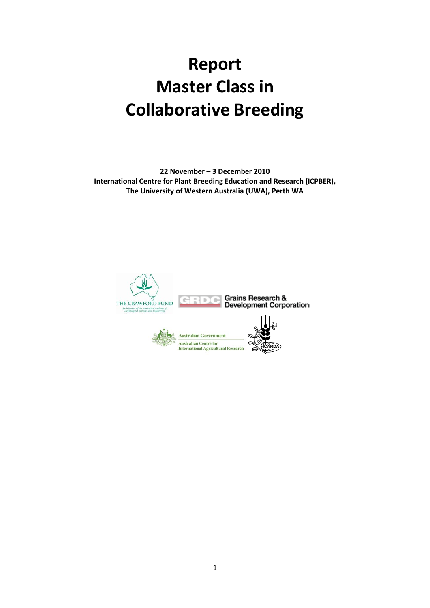# **Report Master Class in Collaborative Breeding**

**22 November – 3 December 2010 International Centre for Plant Breeding Education and Research (ICPBER), The University of Western Australia (UWA), Perth WA**

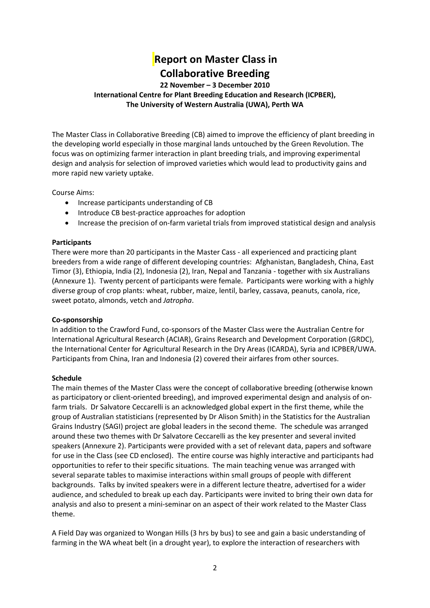# **Report on Master Class in Collaborative Breeding**

## **22 November – 3 December 2010 International Centre for Plant Breeding Education and Research (ICPBER), The University of Western Australia (UWA), Perth WA**

The Master Class in Collaborative Breeding (CB) aimed to improve the efficiency of plant breeding in the developing world especially in those marginal lands untouched by the Green Revolution. The focus was on optimizing farmer interaction in plant breeding trials, and improving experimental design and analysis for selection of improved varieties which would lead to productivity gains and more rapid new variety uptake.

Course Aims:

- Increase participants understanding of CB
- Introduce CB best-practice approaches for adoption
- Increase the precision of on-farm varietal trials from improved statistical design and analysis

#### **Participants**

There were more than 20 participants in the Master Cass - all experienced and practicing plant breeders from a wide range of different developing countries: Afghanistan, Bangladesh, China, East Timor (3), Ethiopia, India (2), Indonesia (2), Iran, Nepal and Tanzania - together with six Australians (Annexure 1). Twenty percent of participants were female. Participants were working with a highly diverse group of crop plants: wheat, rubber, maize, lentil, barley, cassava, peanuts, canola, rice, sweet potato, almonds, vetch and *Jatropha*.

### **Co-sponsorship**

In addition to the Crawford Fund, co-sponsors of the Master Class were the Australian Centre for International Agricultural Research (ACIAR), Grains Research and Development Corporation (GRDC), the International Center for Agricultural Research in the Dry Areas (ICARDA), Syria and ICPBER/UWA. Participants from China, Iran and Indonesia (2) covered their airfares from other sources.

### **Schedule**

The main themes of the Master Class were the concept of collaborative breeding (otherwise known as participatory or client-oriented breeding), and improved experimental design and analysis of onfarm trials. Dr Salvatore Ceccarelli is an acknowledged global expert in the first theme, while the group of Australian statisticians (represented by Dr Alison Smith) in the Statistics for the Australian Grains Industry (SAGI) project are global leaders in the second theme. The schedule was arranged around these two themes with Dr Salvatore Ceccarelli as the key presenter and several invited speakers (Annexure 2). Participants were provided with a set of relevant data, papers and software for use in the Class (see CD enclosed). The entire course was highly interactive and participants had opportunities to refer to their specific situations. The main teaching venue was arranged with several separate tables to maximise interactions within small groups of people with different backgrounds. Talks by invited speakers were in a different lecture theatre, advertised for a wider audience, and scheduled to break up each day. Participants were invited to bring their own data for analysis and also to present a mini-seminar on an aspect of their work related to the Master Class theme.

A Field Day was organized to Wongan Hills (3 hrs by bus) to see and gain a basic understanding of farming in the WA wheat belt (in a drought year), to explore the interaction of researchers with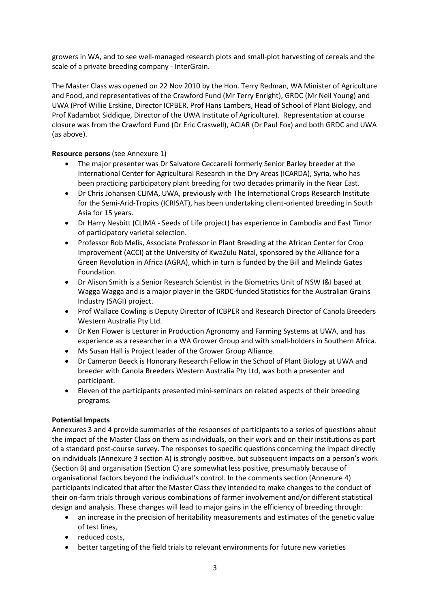growers in WA, and to see well-managed research plots and small-plot harvesting of cereals and the scale of a private breeding company - InterGrain.

The Master Class was opened on 22 Nov 2010 by the Hon. Terry Redman, WA Minister of Agriculture and Food, and representatives of the Crawford Fund (Mr Terry Enright), GRDC (Mr Neil Young) and UWA (Prof Willie Erskine, Director ICPBER, Prof Hans Lambers, Head of School of Plant Biology, and Prof Kadambot Siddique, Director of the UWA Institute of Agriculture). Representation at course closure was from the Crawford Fund (Dr Eric Craswell), ACIAR (Dr Paul Fox) and both GRDC and UWA (as above).

## **Resource persons** (see Annexure 1)

- The major presenter was Dr Salvatore Ceccarelli formerly Senior Barley breeder at the International Center for Agricultural Research in the Dry Areas (ICARDA), Syria, who has been practicing participatory plant breeding for two decades primarily in the Near East.
- Dr Chris Johansen CLIMA, UWA, previously with The International Crops Research Institute for the Semi-Arid-Tropics (ICRISAT), has been undertaking client-oriented breeding in South Asia for 15 years.
- Dr Harry Nesbitt (CLIMA Seeds of Life project) has experience in Cambodia and East Timor of participatory varietal selection.
- Professor Rob Melis, Associate Professor in Plant Breeding at the African Center for Crop Improvement (ACCI) at the University of KwaZulu Natal, sponsored by the Alliance for a Green Revolution in Africa (AGRA), which in turn is funded by the Bill and Melinda Gates Foundation.
- Dr Alison Smith is a Senior Research Scientist in the Biometrics Unit of NSW I&I based at Wagga Wagga and is a major player in the GRDC-funded Statistics for the Australian Grains Industry (SAGI) project.
- Prof Wallace Cowling is Deputy Director of ICBPER and Research Director of Canola Breeders Western Australia Pty Ltd.
- Dr Ken Flower is Lecturer in Production Agronomy and Farming Systems at UWA, and has experience as a researcher in a WA Grower Group and with small-holders in Southern Africa.
- Ms Susan Hall is Project leader of the Grower Group Alliance.
- Dr Cameron Beeck is Honorary Research Fellow in the School of Plant Biology at UWA and breeder with Canola Breeders Western Australia Pty Ltd, was both a presenter and participant.
- Eleven of the participants presented mini-seminars on related aspects of their breeding programs.

## **Potential Impacts**

Annexures 3 and 4 provide summaries of the responses of participants to a series of questions about the impact of the Master Class on them as individuals, on their work and on their institutions as part of a standard post-course survey. The responses to specific questions concerning the impact directly on individuals (Annexure 3 section A) is strongly positive, but subsequent impacts on a person's work (Section B) and organisation (Section C) are somewhat less positive, presumably because of organisational factors beyond the individual's control. In the comments section (Annexure 4) participants indicated that after the Master Class they intended to make changes to the conduct of their on-farm trials through various combinations of farmer involvement and/or different statistical design and analysis. These changes will lead to major gains in the efficiency of breeding through:

- an increase in the precision of heritability measurements and estimates of the genetic value of test lines,
- reduced costs,
- better targeting of the field trials to relevant environments for future new varieties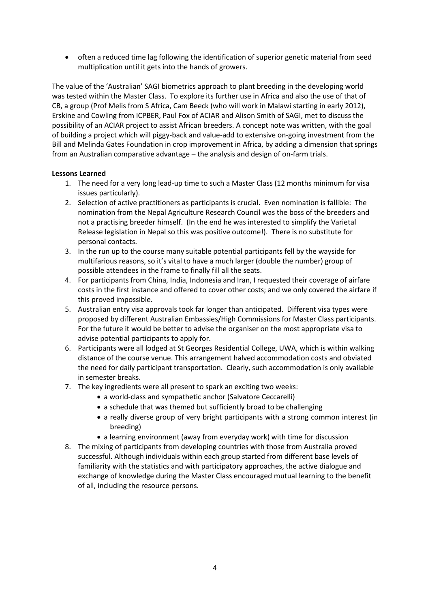• often a reduced time lag following the identification of superior genetic material from seed multiplication until it gets into the hands of growers.

The value of the 'Australian' SAGI biometrics approach to plant breeding in the developing world was tested within the Master Class. To explore its further use in Africa and also the use of that of CB, a group (Prof Melis from S Africa, Cam Beeck (who will work in Malawi starting in early 2012), Erskine and Cowling from ICPBER, Paul Fox of ACIAR and Alison Smith of SAGI, met to discuss the possibility of an ACIAR project to assist African breeders. A concept note was written, with the goal of building a project which will piggy-back and value-add to extensive on-going investment from the Bill and Melinda Gates Foundation in crop improvement in Africa, by adding a dimension that springs from an Australian comparative advantage – the analysis and design of on-farm trials.

## **Lessons Learned**

- 1. The need for a very long lead-up time to such a Master Class (12 months minimum for visa issues particularly).
- 2. Selection of active practitioners as participants is crucial. Even nomination is fallible: The nomination from the Nepal Agriculture Research Council was the boss of the breeders and not a practising breeder himself. (In the end he was interested to simplify the Varietal Release legislation in Nepal so this was positive outcome!). There is no substitute for personal contacts.
- 3. In the run up to the course many suitable potential participants fell by the wayside for multifarious reasons, so it's vital to have a much larger (double the number) group of possible attendees in the frame to finally fill all the seats.
- 4. For participants from China, India, Indonesia and Iran, I requested their coverage of airfare costs in the first instance and offered to cover other costs; and we only covered the airfare if this proved impossible.
- 5. Australian entry visa approvals took far longer than anticipated. Different visa types were proposed by different Australian Embassies/High Commissions for Master Class participants. For the future it would be better to advise the organiser on the most appropriate visa to advise potential participants to apply for.
- 6. Participants were all lodged at St Georges Residential College, UWA, which is within walking distance of the course venue. This arrangement halved accommodation costs and obviated the need for daily participant transportation. Clearly, such accommodation is only available in semester breaks.
- 7. The key ingredients were all present to spark an exciting two weeks:
	- a world-class and sympathetic anchor (Salvatore Ceccarelli)
	- a schedule that was themed but sufficiently broad to be challenging
	- a really diverse group of very bright participants with a strong common interest (in breeding)
	- a learning environment (away from everyday work) with time for discussion
- 8. The mixing of participants from developing countries with those from Australia proved successful. Although individuals within each group started from different base levels of familiarity with the statistics and with participatory approaches, the active dialogue and exchange of knowledge during the Master Class encouraged mutual learning to the benefit of all, including the resource persons.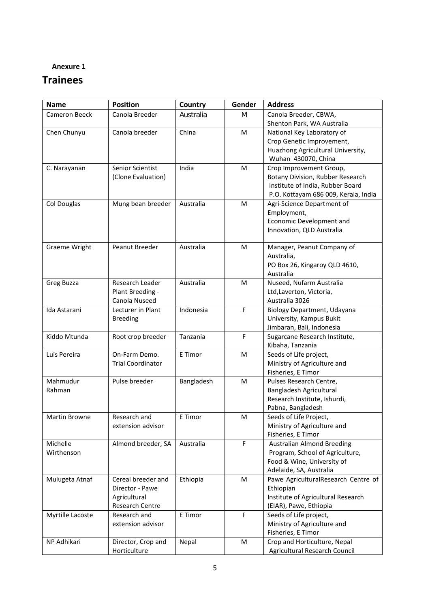# **Trainees**

| <b>Name</b>      | <b>Position</b>          | Country    | Gender      | <b>Address</b>                       |
|------------------|--------------------------|------------|-------------|--------------------------------------|
| Cameron Beeck    | Canola Breeder           | Australia  | M           | Canola Breeder, CBWA,                |
|                  |                          |            |             | Shenton Park, WA Australia           |
| Chen Chunyu      | Canola breeder           | China      | M           | National Key Laboratory of           |
|                  |                          |            |             | Crop Genetic Improvement,            |
|                  |                          |            |             | Huazhong Agricultural University,    |
|                  |                          |            |             | Wuhan 430070, China                  |
| C. Narayanan     | Senior Scientist         | India      | M           | Crop Improvement Group,              |
|                  | (Clone Evaluation)       |            |             | Botany Division, Rubber Research     |
|                  |                          |            |             | Institute of India, Rubber Board     |
|                  |                          |            |             | P.O. Kottayam 686 009, Kerala, India |
| Col Douglas      | Mung bean breeder        | Australia  | M           | Agri-Science Department of           |
|                  |                          |            |             | Employment,                          |
|                  |                          |            |             | Economic Development and             |
|                  |                          |            |             | Innovation, QLD Australia            |
|                  |                          |            |             |                                      |
| Graeme Wright    | Peanut Breeder           | Australia  | M           | Manager, Peanut Company of           |
|                  |                          |            |             | Australia,                           |
|                  |                          |            |             | PO Box 26, Kingaroy QLD 4610,        |
|                  |                          |            |             | Australia                            |
| Greg Buzza       | Research Leader          | Australia  | м           | Nuseed, Nufarm Australia             |
|                  | Plant Breeding -         |            |             | Ltd, Laverton, Victoria,             |
|                  | Canola Nuseed            |            |             | Australia 3026                       |
| Ida Astarani     | Lecturer in Plant        | Indonesia  | F           | Biology Department, Udayana          |
|                  | <b>Breeding</b>          |            |             | University, Kampus Bukit             |
|                  |                          |            |             | Jimbaran, Bali, Indonesia            |
| Kiddo Mtunda     | Root crop breeder        | Tanzania   | $\mathsf F$ | Sugarcane Research Institute,        |
|                  |                          |            |             | Kibaha, Tanzania                     |
| Luis Pereira     | On-Farm Demo.            | E Timor    | M           | Seeds of Life project,               |
|                  | <b>Trial Coordinator</b> |            |             | Ministry of Agriculture and          |
|                  |                          |            |             | Fisheries, E Timor                   |
| Mahmudur         | Pulse breeder            | Bangladesh | M           | Pulses Research Centre,              |
| Rahman           |                          |            |             | Bangladesh Agricultural              |
|                  |                          |            |             | Research Institute, Ishurdi,         |
|                  |                          |            |             | Pabna, Bangladesh                    |
| Martin Browne    | Research and             | E Timor    | M           | Seeds of Life Project,               |
|                  | extension advisor        |            |             | Ministry of Agriculture and          |
|                  |                          |            |             | Fisheries, E Timor                   |
| Michelle         | Almond breeder, SA       | Australia  | $\mathsf F$ | <b>Australian Almond Breeding</b>    |
| Wirthenson       |                          |            |             | Program, School of Agriculture,      |
|                  |                          |            |             | Food & Wine, University of           |
|                  |                          |            |             | Adelaide, SA, Australia              |
| Mulugeta Atnaf   | Cereal breeder and       | Ethiopia   | M           | Pawe AgriculturalResearch Centre of  |
|                  | Director - Pawe          |            |             | Ethiopian                            |
|                  | Agricultural             |            |             | Institute of Agricultural Research   |
|                  | Research Centre          |            |             | (EIAR), Pawe, Ethiopia               |
| Myrtille Lacoste | Research and             | E Timor    | $\mathsf F$ | Seeds of Life project,               |
|                  | extension advisor        |            |             | Ministry of Agriculture and          |
|                  |                          |            |             | Fisheries, E Timor                   |
| NP Adhikari      | Director, Crop and       | Nepal      | M           | Crop and Horticulture, Nepal         |
|                  | Horticulture             |            |             | Agricultural Research Council        |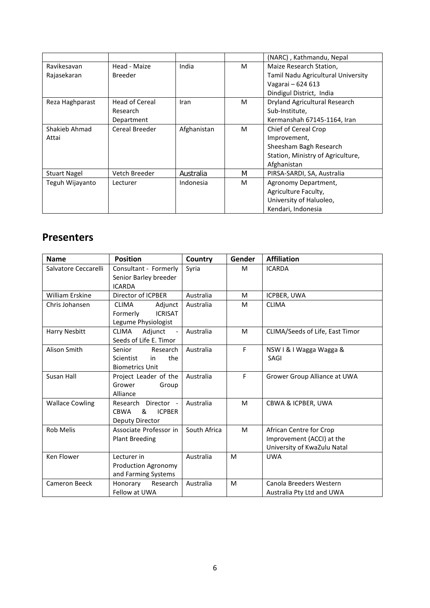|                     |                       |             |   | (NARC), Kathmandu, Nepal           |
|---------------------|-----------------------|-------------|---|------------------------------------|
| Ravikesavan         | Head - Maize          | India       | м | Maize Research Station,            |
| Rajasekaran         | <b>Breeder</b>        |             |   | Tamil Nadu Agricultural University |
|                     |                       |             |   | Vagarai - 624 613                  |
|                     |                       |             |   | Dindigul District, India           |
| Reza Haghparast     | <b>Head of Cereal</b> | Iran        | м | Dryland Agricultural Research      |
|                     | Research              |             |   | Sub-Institute,                     |
|                     | Department            |             |   | Kermanshah 67145-1164, Iran        |
| Shakieb Ahmad       | Cereal Breeder        | Afghanistan | M | Chief of Cereal Crop               |
| Attai               |                       |             |   | Improvement,                       |
|                     |                       |             |   | Sheesham Bagh Research             |
|                     |                       |             |   | Station, Ministry of Agriculture,  |
|                     |                       |             |   | Afghanistan                        |
| <b>Stuart Nagel</b> | Vetch Breeder         | Australia   | M | PIRSA-SARDI, SA, Australia         |
| Teguh Wijayanto     | Lecturer              | Indonesia   | м | Agronomy Department,               |
|                     |                       |             |   | Agriculture Faculty,               |
|                     |                       |             |   | University of Haluoleo,            |
|                     |                       |             |   | Kendari, Indonesia                 |

## **Presenters**

| <b>Name</b>            | <b>Position</b>                                                                | Country      | Gender | <b>Affiliation</b>                                                                  |
|------------------------|--------------------------------------------------------------------------------|--------------|--------|-------------------------------------------------------------------------------------|
| Salvatore Ceccarelli   | Consultant - Formerly<br>Senior Barley breeder                                 | Syria        | M      | <b>ICARDA</b>                                                                       |
|                        | <b>ICARDA</b>                                                                  |              |        |                                                                                     |
| <b>William Erskine</b> | Director of ICPBER                                                             | Australia    | M      | ICPBER, UWA                                                                         |
| Chris Johansen         | Adjunct<br><b>CLIMA</b><br><b>ICRISAT</b><br>Formerly<br>Legume Physiologist   | Australia    | M      | <b>CLIMA</b>                                                                        |
| Harry Nesbitt          | <b>CLIMA</b><br>Adjunct<br>Seeds of Life E. Timor                              | Australia    | M      | CLIMA/Seeds of Life, East Timor                                                     |
| Alison Smith           | Senior<br>Research<br>the<br><b>Scientist</b><br>in<br><b>Biometrics Unit</b>  | Australia    | F      | NSW I & I Wagga Wagga &<br>SAGI                                                     |
| Susan Hall             | Project Leader of the<br>Grower<br>Group<br>Alliance                           | Australia    | F      | Grower Group Alliance at UWA                                                        |
| <b>Wallace Cowling</b> | Director -<br>Research<br><b>ICPBER</b><br><b>CBWA</b><br>&<br>Deputy Director | Australia    | M      | CBWA & ICPBER, UWA                                                                  |
| <b>Rob Melis</b>       | Associate Professor in<br><b>Plant Breeding</b>                                | South Africa | M      | African Centre for Crop<br>Improvement (ACCI) at the<br>University of KwaZulu Natal |
| Ken Flower             | Lecturer in<br>Production Agronomy<br>and Farming Systems                      | Australia    | M      | <b>UWA</b>                                                                          |
| <b>Cameron Beeck</b>   | Honorary<br>Research<br>Fellow at UWA                                          | Australia    | M      | Canola Breeders Western<br>Australia Pty Ltd and UWA                                |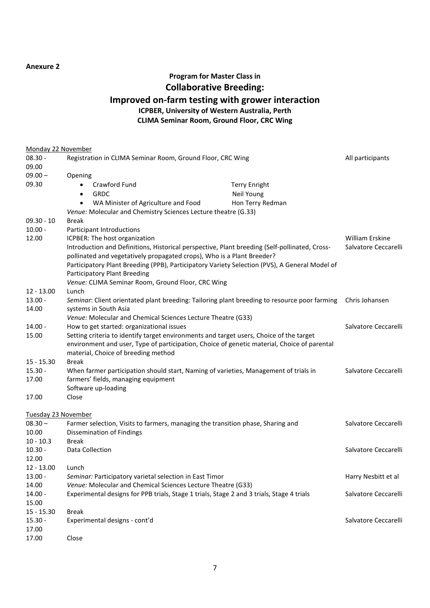## **Program for Master Class in Collaborative Breeding: Improved on-farm testing with grower interaction ICPBER, University of Western Australia, Perth CLIMA Seminar Room, Ground Floor, CRC Wing**

| <b>Monday 22 November</b> |                                                                                               |                      |                        |
|---------------------------|-----------------------------------------------------------------------------------------------|----------------------|------------------------|
| $08.30 -$                 | Registration in CLIMA Seminar Room, Ground Floor, CRC Wing                                    |                      | All participants       |
| 09.00                     |                                                                                               |                      |                        |
| $09.00 -$                 | Opening                                                                                       |                      |                        |
| 09.30                     | Crawford Fund                                                                                 | <b>Terry Enright</b> |                        |
|                           | <b>GRDC</b><br>٠                                                                              | Neil Young           |                        |
|                           | WA Minister of Agriculture and Food<br>$\bullet$                                              | Hon Terry Redman     |                        |
|                           | Venue: Molecular and Chemistry Sciences Lecture theatre (G.33)                                |                      |                        |
| $09.30 - 10$              | <b>Break</b>                                                                                  |                      |                        |
| $10.00 -$                 | Participant Introductions                                                                     |                      |                        |
| 12.00                     | ICPBER: The host organization                                                                 |                      | <b>William Erskine</b> |
|                           | Introduction and Definitions, Historical perspective, Plant breeding (Self-pollinated, Cross- |                      | Salvatore Ceccarelli   |
|                           | pollinated and vegetatively propagated crops), Who is a Plant Breeder?                        |                      |                        |
|                           | Participatory Plant Breeding (PPB), Participatory Variety Selection (PVS), A General Model of |                      |                        |
|                           | Participatory Plant Breeding                                                                  |                      |                        |
|                           | Venue: CLIMA Seminar Room, Ground Floor, CRC Wing                                             |                      |                        |
| $12 - 13.00$              | Lunch                                                                                         |                      |                        |
| $13.00 -$                 | Seminar: Client orientated plant breeding: Tailoring plant breeding to resource poor farming  |                      | Chris Johansen         |
| 14.00                     | systems in South Asia                                                                         |                      |                        |
|                           | Venue: Molecular and Chemical Sciences Lecture Theatre (G33)                                  |                      |                        |
| $14.00 -$                 | How to get started: organizational issues                                                     |                      | Salvatore Ceccarelli   |
| 15.00                     | Setting criteria to identify target environments and target users, Choice of the target       |                      |                        |
|                           | environment and user, Type of participation, Choice of genetic material, Choice of parental   |                      |                        |
|                           | material, Choice of breeding method                                                           |                      |                        |
| $15 - 15.30$              | <b>Break</b>                                                                                  |                      |                        |
| $15.30 -$                 | When farmer participation should start, Naming of varieties, Management of trials in          |                      | Salvatore Ceccarelli   |
| 17.00                     | farmers' fields, managing equipment                                                           |                      |                        |
|                           | Software up-loading                                                                           |                      |                        |
| 17.00                     | Close                                                                                         |                      |                        |
|                           |                                                                                               |                      |                        |
| Tuesday 23 November       |                                                                                               |                      |                        |
| $08.30 -$                 | Farmer selection, Visits to farmers, managing the transition phase, Sharing and               |                      | Salvatore Ceccarelli   |
| 10.00                     | <b>Dissemination of Findings</b>                                                              |                      |                        |
| $10 - 10.3$               | <b>Break</b>                                                                                  |                      |                        |
| $10.30 -$                 | Data Collection                                                                               |                      | Salvatore Ceccarelli   |
| 12.00                     |                                                                                               |                      |                        |
| 12 - 13.00                | Lunch                                                                                         |                      |                        |
| $13.00 -$                 | Seminar: Participatory varietal selection in East Timor                                       |                      | Harry Nesbitt et al    |
| 14.00                     | Venue: Molecular and Chemical Sciences Lecture Theatre (G33)                                  |                      |                        |
| $14.00 -$                 | Experimental designs for PPB trials, Stage 1 trials, Stage 2 and 3 trials, Stage 4 trials     |                      | Salvatore Ceccarelli   |
| 15.00                     |                                                                                               |                      |                        |
| $15 - 15.30$              | <b>Break</b>                                                                                  |                      |                        |
| $15.30 -$                 | Experimental designs - cont'd                                                                 |                      | Salvatore Ceccarelli   |
| 17.00                     |                                                                                               |                      |                        |
| 17.00                     | Close                                                                                         |                      |                        |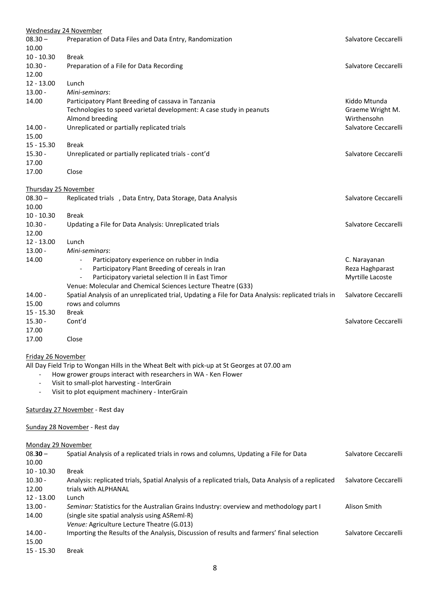| Wednesday 24 November    |                                                                                                     |                      |
|--------------------------|-----------------------------------------------------------------------------------------------------|----------------------|
| $08.30 -$<br>10.00       | Preparation of Data Files and Data Entry, Randomization                                             | Salvatore Ceccarelli |
| $10 - 10.30$             | <b>Break</b>                                                                                        |                      |
| $10.30 -$                | Preparation of a File for Data Recording                                                            | Salvatore Ceccarelli |
| 12.00                    |                                                                                                     |                      |
| $12 - 13.00$             | Lunch                                                                                               |                      |
| $13.00 -$                | Mini-seminars:                                                                                      |                      |
| 14.00                    | Participatory Plant Breeding of cassava in Tanzania                                                 | Kiddo Mtunda         |
|                          | Technologies to speed varietal development: A case study in peanuts                                 | Graeme Wright M.     |
|                          | Almond breeding                                                                                     | Wirthensohn          |
| $14.00 -$                | Unreplicated or partially replicated trials                                                         | Salvatore Ceccarelli |
| 15.00                    |                                                                                                     |                      |
| $15 - 15.30$             | <b>Break</b>                                                                                        |                      |
| $15.30 -$                | Unreplicated or partially replicated trials - cont'd                                                | Salvatore Ceccarelli |
| 17.00                    |                                                                                                     |                      |
| 17.00                    | Close                                                                                               |                      |
| Thursday 25 November     |                                                                                                     |                      |
| $08.30 -$                | Replicated trials , Data Entry, Data Storage, Data Analysis                                         | Salvatore Ceccarelli |
| 10.00                    |                                                                                                     |                      |
| $10 - 10.30$             | <b>Break</b>                                                                                        |                      |
| $10.30 -$                | Updating a File for Data Analysis: Unreplicated trials                                              | Salvatore Ceccarelli |
| 12.00                    |                                                                                                     |                      |
| $12 - 13.00$             | Lunch                                                                                               |                      |
| $13.00 -$                | Mini-seminars:                                                                                      |                      |
| 14.00                    | Participatory experience on rubber in India                                                         | C. Narayanan         |
|                          | Participatory Plant Breeding of cereals in Iran<br>$\overline{\phantom{a}}$                         | Reza Haghparast      |
|                          | Participatory varietal selection II in East Timor                                                   | Myrtille Lacoste     |
|                          | Venue: Molecular and Chemical Sciences Lecture Theatre (G33)                                        |                      |
| $14.00 -$                | Spatial Analysis of an unreplicated trial, Updating a File for Data Analysis: replicated trials in  | Salvatore Ceccarelli |
| 15.00                    | rows and columns                                                                                    |                      |
| $15 - 15.30$             | Break                                                                                               |                      |
| $15.30 -$                | Cont'd                                                                                              | Salvatore Ceccarelli |
| 17.00                    |                                                                                                     |                      |
| 17.00                    | Close                                                                                               |                      |
|                          |                                                                                                     |                      |
| Friday 26 November       |                                                                                                     |                      |
|                          | All Day Field Trip to Wongan Hills in the Wheat Belt with pick-up at St Georges at 07.00 am         |                      |
|                          | How grower groups interact with researchers in WA - Ken Flower                                      |                      |
| $\overline{\phantom{a}}$ | Visit to small-plot harvesting - InterGrain                                                         |                      |
|                          | Visit to plot equipment machinery - InterGrain                                                      |                      |
|                          | Saturday 27 November - Rest day                                                                     |                      |
|                          | Sunday 28 November - Rest day                                                                       |                      |
|                          |                                                                                                     |                      |
| Monday 29 November       |                                                                                                     |                      |
| $08.30 -$                | Spatial Analysis of a replicated trials in rows and columns, Updating a File for Data               | Salvatore Ceccarelli |
| 10.00                    |                                                                                                     |                      |
| $10 - 10.30$             | <b>Break</b>                                                                                        |                      |
| $10.30 -$                | Analysis: replicated trials, Spatial Analysis of a replicated trials, Data Analysis of a replicated | Salvatore Ceccarelli |
| 12.00                    | trials with ALPHANAL                                                                                |                      |
| $12 - 13.00$             | Lunch                                                                                               |                      |
| $13.00 -$                | Seminar: Statistics for the Australian Grains Industry: overview and methodology part I             | Alison Smith         |
| 14.00                    | (single site spatial analysis using ASReml-R)                                                       |                      |
|                          | Venue: Agriculture Lecture Theatre (G.013)                                                          |                      |
| $14.00 -$                | Importing the Results of the Analysis, Discussion of results and farmers' final selection           | Salvatore Ceccarelli |
| 15.00                    |                                                                                                     |                      |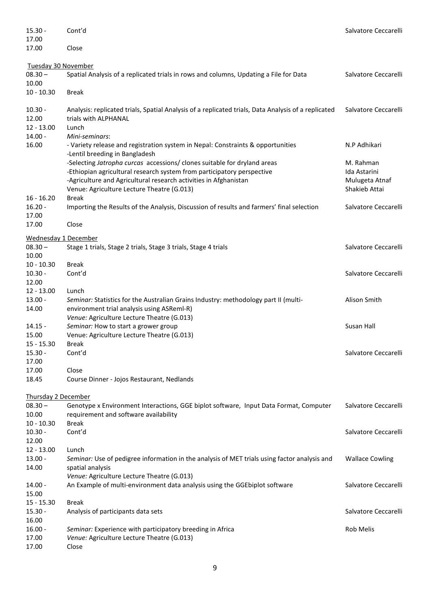| $15.30 -$                   | Cont'd                                                                                              | Salvatore Ceccarelli   |
|-----------------------------|-----------------------------------------------------------------------------------------------------|------------------------|
| 17.00                       |                                                                                                     |                        |
| 17.00                       | Close                                                                                               |                        |
|                             |                                                                                                     |                        |
| Tuesday 30 November         |                                                                                                     |                        |
| $08.30 -$                   | Spatial Analysis of a replicated trials in rows and columns, Updating a File for Data               | Salvatore Ceccarelli   |
| 10.00                       |                                                                                                     |                        |
| $10 - 10.30$                | <b>Break</b>                                                                                        |                        |
| $10.30 -$                   | Analysis: replicated trials, Spatial Analysis of a replicated trials, Data Analysis of a replicated | Salvatore Ceccarelli   |
| 12.00                       | trials with ALPHANAL                                                                                |                        |
| $12 - 13.00$                | Lunch                                                                                               |                        |
| $14.00 -$                   | Mini-seminars:                                                                                      |                        |
| 16.00                       | - Variety release and registration system in Nepal: Constraints & opportunities                     | N.P Adhikari           |
|                             | -Lentil breeding in Bangladesh                                                                      |                        |
|                             | -Selecting Jatropha curcas accessions/ clones suitable for dryland areas                            | M. Rahman              |
|                             | -Ethiopian agricultural research system from participatory perspective                              | Ida Astarini           |
|                             | -Agriculture and Agricultural research activities in Afghanistan                                    | Mulugeta Atnaf         |
| $16 - 16.20$                | Venue: Agriculture Lecture Theatre (G.013)<br><b>Break</b>                                          | Shakieb Attai          |
| $16.20 -$                   | Importing the Results of the Analysis, Discussion of results and farmers' final selection           | Salvatore Ceccarelli   |
| 17.00                       |                                                                                                     |                        |
| 17.00                       | Close                                                                                               |                        |
|                             |                                                                                                     |                        |
| <b>Wednesday 1 December</b> |                                                                                                     |                        |
| $08.30 -$                   | Stage 1 trials, Stage 2 trials, Stage 3 trials, Stage 4 trials                                      | Salvatore Ceccarelli   |
| 10.00                       |                                                                                                     |                        |
| $10 - 10.30$                | <b>Break</b>                                                                                        |                        |
| $10.30 -$<br>12.00          | Cont'd                                                                                              | Salvatore Ceccarelli   |
|                             |                                                                                                     |                        |
|                             |                                                                                                     |                        |
| $12 - 13.00$                | Lunch                                                                                               |                        |
| $13.00 -$                   | Seminar: Statistics for the Australian Grains Industry: methodology part II (multi-                 | Alison Smith           |
| 14.00                       | environment trial analysis using ASReml-R)                                                          |                        |
|                             | Venue: Agriculture Lecture Theatre (G.013)                                                          |                        |
| $14.15 -$                   | Seminar: How to start a grower group                                                                | Susan Hall             |
| 15.00                       | Venue: Agriculture Lecture Theatre (G.013)                                                          |                        |
| $15 - 15.30$                | Break                                                                                               |                        |
| $15.30 -$                   | Cont'd                                                                                              | Salvatore Ceccarelli   |
| 17.00                       | Close                                                                                               |                        |
| 17.00<br>18.45              | Course Dinner - Jojos Restaurant, Nedlands                                                          |                        |
|                             |                                                                                                     |                        |
| <b>Thursday 2 December</b>  |                                                                                                     |                        |
| $08.30 -$                   | Genotype x Environment Interactions, GGE biplot software, Input Data Format, Computer               | Salvatore Ceccarelli   |
| 10.00                       | requirement and software availability                                                               |                        |
| $10 - 10.30$                | <b>Break</b>                                                                                        |                        |
| $10.30 -$                   | Cont'd                                                                                              | Salvatore Ceccarelli   |
| 12.00                       |                                                                                                     |                        |
| $12 - 13.00$                | Lunch                                                                                               |                        |
| $13.00 -$                   | Seminar: Use of pedigree information in the analysis of MET trials using factor analysis and        | <b>Wallace Cowling</b> |
| 14.00                       | spatial analysis                                                                                    |                        |
|                             | Venue: Agriculture Lecture Theatre (G.013)                                                          |                        |
| $14.00 -$                   | An Example of multi-environment data analysis using the GGE biplot software                         | Salvatore Ceccarelli   |
| 15.00                       |                                                                                                     |                        |
| $15 - 15.30$                | <b>Break</b>                                                                                        |                        |
| $15.30 -$                   | Analysis of participants data sets                                                                  | Salvatore Ceccarelli   |
| 16.00                       |                                                                                                     |                        |
| $16.00 -$                   | Seminar: Experience with participatory breeding in Africa                                           | <b>Rob Melis</b>       |
| 17.00<br>17.00              | Venue: Agriculture Lecture Theatre (G.013)<br>Close                                                 |                        |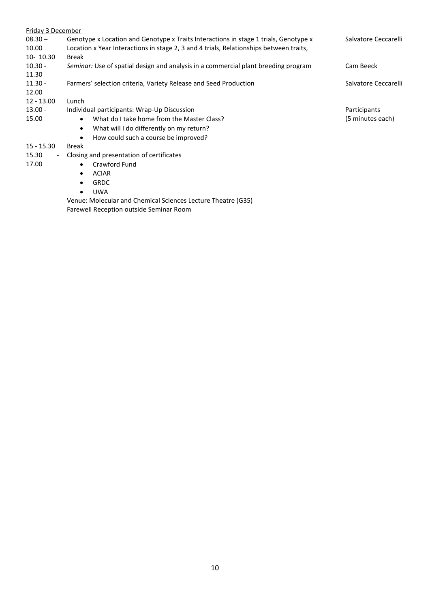| Friday 3 December                 |                                                                                        |                      |
|-----------------------------------|----------------------------------------------------------------------------------------|----------------------|
| $08.30 -$                         | Genotype x Location and Genotype x Traits Interactions in stage 1 trials, Genotype x   | Salvatore Ceccarelli |
| 10.00                             | Location x Year Interactions in stage 2, 3 and 4 trials, Relationships between traits, |                      |
| $10-10.30$                        | <b>Break</b>                                                                           |                      |
| $10.30 -$                         | Seminar: Use of spatial design and analysis in a commercial plant breeding program     | Cam Beeck            |
| 11.30                             |                                                                                        |                      |
| $11.30 -$                         | Farmers' selection criteria, Variety Release and Seed Production                       | Salvatore Ceccarelli |
| 12.00                             |                                                                                        |                      |
| $12 - 13.00$                      | Lunch                                                                                  |                      |
| $13.00 -$                         | Individual participants: Wrap-Up Discussion                                            | Participants         |
| 15.00                             | What do I take home from the Master Class?<br>$\bullet$                                | (5 minutes each)     |
|                                   | What will I do differently on my return?<br>$\bullet$                                  |                      |
|                                   | How could such a course be improved?                                                   |                      |
| $15 - 15.30$                      | <b>Break</b>                                                                           |                      |
| 15.30<br>$\overline{\phantom{a}}$ | Closing and presentation of certificates                                               |                      |
| 17.00                             | Crawford Fund<br>$\bullet$                                                             |                      |
|                                   | <b>ACIAR</b><br>$\bullet$                                                              |                      |
|                                   | <b>GRDC</b>                                                                            |                      |
|                                   | <b>UWA</b>                                                                             |                      |
|                                   | <i>Nesue Melecules and Chamical Calenges Leature Theatra (COE)</i>                     |                      |

Venue: Molecular and Chemical Sciences Lecture Theatre (G35) Farewell Reception outside Seminar Room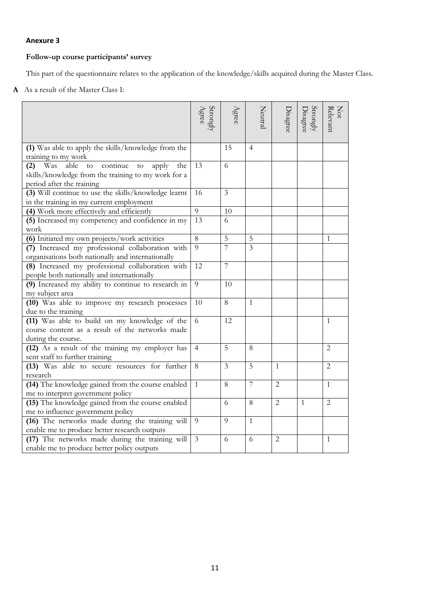## **Follow-up course participants' survey**

This part of the questionnaire relates to the application of the knowledge/skills acquired during the Master Class.

**A** As a result of the Master Class I:

|                                                                                                                                                       | Strongly<br>Agree | A <sub>grec</sub> | Neutral                 | Disagree       | $\frac{\text{Strongly}}{\text{Disagree}}$ | Not<br>Relevant |
|-------------------------------------------------------------------------------------------------------------------------------------------------------|-------------------|-------------------|-------------------------|----------------|-------------------------------------------|-----------------|
| (1) Was able to apply the skills/knowledge from the<br>training to my work                                                                            |                   | 15                | $\overline{4}$          |                |                                           |                 |
| continue<br>Was<br>able<br>$\rm{to}$<br>apply<br>the<br>(2)<br>to<br>skills/knowledge from the training to my work for a<br>period after the training | 13                | 6                 |                         |                |                                           |                 |
| (3) Will continue to use the skills/knowledge learnt<br>in the training in my current employment                                                      | 16                | $\mathfrak{Z}$    |                         |                |                                           |                 |
| (4) Work more effectively and efficiently                                                                                                             | $\overline{9}$    | 10                |                         |                |                                           |                 |
| (5) Increased my competency and confidence in my<br>work                                                                                              | 13                | 6                 |                         |                |                                           |                 |
| (6) Initiated my own projects/work activities                                                                                                         | $\overline{8}$    | $\overline{5}$    | 5                       |                |                                           | 1               |
| (7) Increased my professional collaboration with<br>organisations both nationally and internationally                                                 | 9                 | 7                 | $\overline{\mathbf{3}}$ |                |                                           |                 |
| (8) Increased my professional collaboration with<br>people both nationally and internationally                                                        | 12                | $\overline{7}$    |                         |                |                                           |                 |
| (9) Increased my ability to continue to research in<br>my subject area                                                                                | 9                 | 10                |                         |                |                                           |                 |
| (10) Was able to improve my research processes<br>due to the training                                                                                 | 10                | 8                 | $\mathbf{1}$            |                |                                           |                 |
| (11) Was able to build on my knowledge of the<br>course content as a result of the networks made<br>during the course.                                | 6                 | 12                |                         |                |                                           | 1               |
| (12) As a result of the training my employer has<br>sent staff to further training                                                                    | $\overline{4}$    | 5                 | 8                       |                |                                           | $\overline{2}$  |
| (13) Was able to secure resources for further<br>research                                                                                             | 8                 | 3                 | 5                       | $\mathbf{1}$   |                                           | $\overline{2}$  |
| (14) The knowledge gained from the course enabled<br>me to interpret government policy                                                                | 1                 | 8                 | 7                       | $\overline{2}$ |                                           | $\mathbf{1}$    |
| (15) The knowledge gained from the course enabled<br>me to influence government policy                                                                |                   | 6                 | 8                       | $\overline{2}$ | $\mathbf{1}$                              | $\mathfrak{D}$  |
| (16) The networks made during the training will<br>enable me to produce better research outputs                                                       | $\overline{9}$    | $\overline{Q}$    | $\mathbf{1}$            |                |                                           |                 |
| (17) The networks made during the training will<br>enable me to produce better policy outputs                                                         | 3                 | 6                 | 6                       | $\overline{c}$ |                                           | 1               |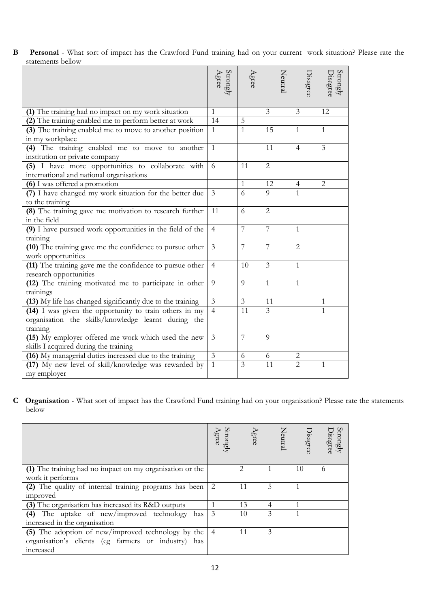**B Personal** - What sort of impact has the Crawford Fund training had on your current work situation? Please rate the statements bellow

|                                                                                  | $\begin{array}{c} \rm{Strongly} \\ \rm{Agree} \end{array}$ | Agree          | Neutral        | Disagree       | Strongly<br>Disagree |
|----------------------------------------------------------------------------------|------------------------------------------------------------|----------------|----------------|----------------|----------------------|
| (1) The training had no impact on my work situation                              | $\mathbf{1}$                                               |                | 3              | 3              | 12                   |
| (2) The training enabled me to perform better at work                            | 14                                                         | 5              |                |                |                      |
| (3) The training enabled me to move to another position                          | 1                                                          | $\mathbf{1}$   | 15             | $\mathbf{1}$   | $\mathbf{1}$         |
| in my workplace                                                                  |                                                            |                |                |                |                      |
| (4) The training enabled me to move to another<br>institution or private company | $\mathbf{1}$                                               |                | 11             | $\overline{4}$ | 3                    |
| (5) I have more opportunities to collaborate with                                | 6                                                          | 11             | $\overline{2}$ |                |                      |
| international and national organisations                                         |                                                            |                |                |                |                      |
| (6) I was offered a promotion                                                    |                                                            | $\mathbf{1}$   | 12             | $\overline{4}$ | $\overline{2}$       |
| (7) I have changed my work situation for the better due                          | $\overline{3}$                                             | 6              | $\overline{Q}$ | $\mathbf{1}$   |                      |
| to the training                                                                  |                                                            |                |                |                |                      |
| (8) The training gave me motivation to research further<br>in the field          | 11                                                         | 6              | $\overline{2}$ |                |                      |
| (9) I have pursued work opportunities in the field of the                        | $\overline{4}$                                             | 7              | 7              | $\mathbf{1}$   |                      |
| training                                                                         |                                                            |                |                |                |                      |
| (10) The training gave me the confidence to pursue other<br>work opportunities   | $\mathfrak{Z}$                                             | 7              | 7              | $\overline{2}$ |                      |
| (11) The training gave me the confidence to pursue other                         | $\overline{4}$                                             | 10             | 3              | $\mathbf{1}$   |                      |
| research opportunities                                                           |                                                            |                |                |                |                      |
| (12) The training motivated me to participate in other<br>trainings              | 9                                                          | 9              | $\mathbf{1}$   | $\mathbf{1}$   |                      |
| (13) My life has changed significantly due to the training                       | $\mathfrak{Z}$                                             | $\overline{3}$ | 11             |                | $\mathbf{1}$         |
| (14) I was given the opportunity to train others in my                           | $\overline{4}$                                             | 11             | 3              |                | $\mathbf{1}$         |
| organisation the skills/knowledge learnt during the<br>training                  |                                                            |                |                |                |                      |
| (15) My employer offered me work which used the new                              | $\overline{3}$                                             | 7              | $\overline{Q}$ |                |                      |
| skills I acquired during the training                                            |                                                            |                |                |                |                      |
| (16) My managerial duties increased due to the training                          | $\mathfrak{Z}$                                             | 6              | 6              | $\overline{c}$ |                      |
| (17) My new level of skill/knowledge was rewarded by                             | $\mathbf{1}$                                               | 3              | 11             | $\overline{2}$ | $\overline{1}$       |
| my employer                                                                      |                                                            |                |                |                |                      |

**C Organisation** - What sort of impact has the Crawford Fund training had on your organisation? Please rate the statements below

|                                                          | Strongly<br>kee | Agree | Neutral        | Disagree | trongly<br><b>Jisagree</b> |
|----------------------------------------------------------|-----------------|-------|----------------|----------|----------------------------|
| (1) The training had no impact on my organisation or the |                 | 2     |                | 10       | $\Omega$                   |
| work it performs                                         |                 |       |                |          |                            |
| (2) The quality of internal training programs has been   |                 | 11    | 5              |          |                            |
| improved                                                 |                 |       |                |          |                            |
| (3) The organisation has increased its R&D outputs       |                 | 13    | $\overline{4}$ |          |                            |
| (4) The uptake of new/improved technology has            | 3               | 10    | 3              |          |                            |
| increased in the organisation                            |                 |       |                |          |                            |
| (5) The adoption of new/improved technology by the       |                 | 11    | 3              |          |                            |
| organisation's clients (eg farmers or industry)<br>has   |                 |       |                |          |                            |
| increased                                                |                 |       |                |          |                            |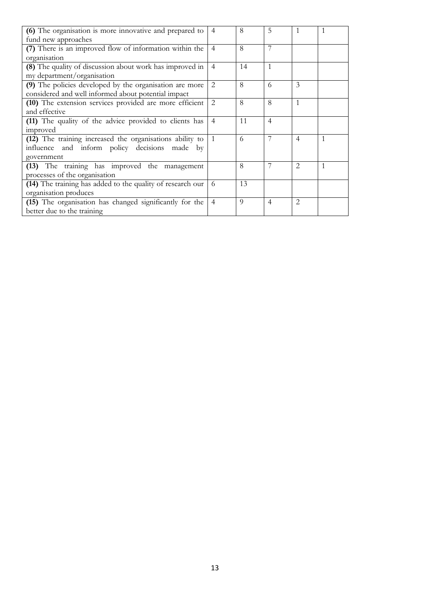| (6) The organisation is more innovative and prepared to    | $\overline{4}$ | 8  | 5              | 1              |  |
|------------------------------------------------------------|----------------|----|----------------|----------------|--|
| fund new approaches                                        |                |    |                |                |  |
| (7) There is an improved flow of information within the    | $\overline{4}$ | 8  |                |                |  |
| organisation                                               |                |    |                |                |  |
| (8) The quality of discussion about work has improved in   | $\overline{4}$ | 14 | $\mathbf{1}$   |                |  |
| my department/organisation                                 |                |    |                |                |  |
| (9) The policies developed by the organisation are more    | $\overline{2}$ | 8  | 6              | 3              |  |
| considered and well informed about potential impact        |                |    |                |                |  |
| (10) The extension services provided are more efficient    | 2              | 8  | 8              | 1              |  |
| and effective                                              |                |    |                |                |  |
| (11) The quality of the advice provided to clients has     | $\overline{4}$ | 11 | $\overline{4}$ |                |  |
| improved                                                   |                |    |                |                |  |
| (12) The training increased the organisations ability to   | $\overline{1}$ | 6  |                | $\overline{4}$ |  |
| influence and inform policy decisions made by              |                |    |                |                |  |
| government                                                 |                |    |                |                |  |
| (13) The training has improved the management              |                | 8  |                | $\overline{2}$ |  |
| processes of the organisation                              |                |    |                |                |  |
| (14) The training has added to the quality of research our | 6              | 13 |                |                |  |
| organisation produces                                      |                |    |                |                |  |
| (15) The organisation has changed significantly for the    | $\overline{4}$ | 9  | $\overline{4}$ | 2              |  |
| better due to the training                                 |                |    |                |                |  |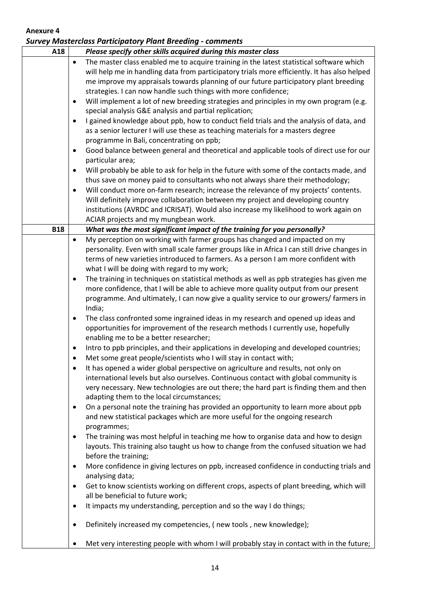|            |                                          | <b>Survey Masterclass Participatory Plant Breeding - comments</b>                                                                                                                                                                                                                                                                                                                                                                                                                                                                                                                                                                                                                                                                                                                                                            |
|------------|------------------------------------------|------------------------------------------------------------------------------------------------------------------------------------------------------------------------------------------------------------------------------------------------------------------------------------------------------------------------------------------------------------------------------------------------------------------------------------------------------------------------------------------------------------------------------------------------------------------------------------------------------------------------------------------------------------------------------------------------------------------------------------------------------------------------------------------------------------------------------|
| A18        |                                          | Please specify other skills acquired during this master class                                                                                                                                                                                                                                                                                                                                                                                                                                                                                                                                                                                                                                                                                                                                                                |
|            | $\bullet$<br>٠<br>$\bullet$<br>$\bullet$ | The master class enabled me to acquire training in the latest statistical software which<br>will help me in handling data from participatory trials more efficiently. It has also helped<br>me improve my appraisals towards planning of our future participatory plant breeding<br>strategies. I can now handle such things with more confidence;<br>Will implement a lot of new breeding strategies and principles in my own program (e.g.<br>special analysis G&E analysis and partial replication;<br>I gained knowledge about ppb, how to conduct field trials and the analysis of data, and<br>as a senior lecturer I will use these as teaching materials for a masters degree<br>programme in Bali, concentrating on ppb;<br>Good balance between general and theoretical and applicable tools of direct use for our |
|            |                                          | particular area;                                                                                                                                                                                                                                                                                                                                                                                                                                                                                                                                                                                                                                                                                                                                                                                                             |
|            | $\bullet$<br>$\bullet$                   | Will probably be able to ask for help in the future with some of the contacts made, and<br>thus save on money paid to consultants who not always share their methodology;<br>Will conduct more on-farm research; increase the relevance of my projects' contents.<br>Will definitely improve collaboration between my project and developing country<br>institutions (AVRDC and ICRISAT). Would also increase my likelihood to work again on<br>ACIAR projects and my mungbean work.                                                                                                                                                                                                                                                                                                                                         |
| <b>B18</b> |                                          | What was the most significant impact of the training for you personally?                                                                                                                                                                                                                                                                                                                                                                                                                                                                                                                                                                                                                                                                                                                                                     |
|            | $\bullet$<br>$\bullet$                   | My perception on working with farmer groups has changed and impacted on my<br>personality. Even with small scale farmer groups like in Africa I can still drive changes in<br>terms of new varieties introduced to farmers. As a person I am more confident with<br>what I will be doing with regard to my work;<br>The training in techniques on statistical methods as well as ppb strategies has given me<br>more confidence, that I will be able to achieve more quality output from our present<br>programme. And ultimately, I can now give a quality service to our growers/ farmers in<br>India;                                                                                                                                                                                                                     |
|            | $\bullet$                                | The class confronted some ingrained ideas in my research and opened up ideas and<br>opportunities for improvement of the research methods I currently use, hopefully<br>enabling me to be a better researcher;                                                                                                                                                                                                                                                                                                                                                                                                                                                                                                                                                                                                               |
|            | ٠                                        | Intro to ppb principles, and their applications in developing and developed countries;                                                                                                                                                                                                                                                                                                                                                                                                                                                                                                                                                                                                                                                                                                                                       |
|            | ٠                                        | Met some great people/scientists who I will stay in contact with;<br>It has opened a wider global perspective on agriculture and results, not only on<br>international levels but also ourselves. Continuous contact with global community is<br>very necessary. New technologies are out there; the hard part is finding them and then<br>adapting them to the local circumstances;                                                                                                                                                                                                                                                                                                                                                                                                                                         |
|            | ٠                                        | On a personal note the training has provided an opportunity to learn more about ppb<br>and new statistical packages which are more useful for the ongoing research<br>programmes;                                                                                                                                                                                                                                                                                                                                                                                                                                                                                                                                                                                                                                            |
|            | $\bullet$                                | The training was most helpful in teaching me how to organise data and how to design<br>layouts. This training also taught us how to change from the confused situation we had<br>before the training;                                                                                                                                                                                                                                                                                                                                                                                                                                                                                                                                                                                                                        |
|            | $\bullet$<br>٠                           | More confidence in giving lectures on ppb, increased confidence in conducting trials and<br>analysing data;<br>Get to know scientists working on different crops, aspects of plant breeding, which will                                                                                                                                                                                                                                                                                                                                                                                                                                                                                                                                                                                                                      |
|            | ٠                                        | all be beneficial to future work;<br>It impacts my understanding, perception and so the way I do things;                                                                                                                                                                                                                                                                                                                                                                                                                                                                                                                                                                                                                                                                                                                     |
|            |                                          | Definitely increased my competencies, (new tools, new knowledge);                                                                                                                                                                                                                                                                                                                                                                                                                                                                                                                                                                                                                                                                                                                                                            |
|            |                                          | Met very interesting people with whom I will probably stay in contact with in the future;                                                                                                                                                                                                                                                                                                                                                                                                                                                                                                                                                                                                                                                                                                                                    |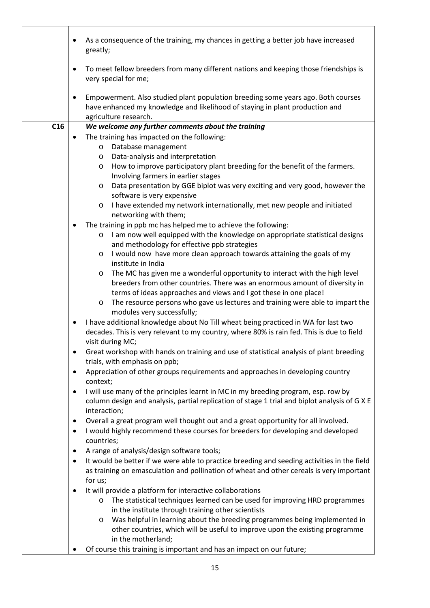|     | As a consequence of the training, my chances in getting a better job have increased<br>$\bullet$<br>greatly;                                                                                                                               |
|-----|--------------------------------------------------------------------------------------------------------------------------------------------------------------------------------------------------------------------------------------------|
|     | To meet fellow breeders from many different nations and keeping those friendships is<br>$\bullet$<br>very special for me;                                                                                                                  |
|     | Empowerment. Also studied plant population breeding some years ago. Both courses<br>$\bullet$<br>have enhanced my knowledge and likelihood of staying in plant production and<br>agriculture research.                                     |
| C16 | We welcome any further comments about the training                                                                                                                                                                                         |
|     | The training has impacted on the following:<br>$\bullet$                                                                                                                                                                                   |
|     | Database management<br>$\circ$                                                                                                                                                                                                             |
|     | Data-analysis and interpretation<br>$\circ$                                                                                                                                                                                                |
|     | How to improve participatory plant breeding for the benefit of the farmers.<br>$\circ$<br>Involving farmers in earlier stages                                                                                                              |
|     | Data presentation by GGE biplot was very exciting and very good, however the<br>$\circ$<br>software is very expensive                                                                                                                      |
|     | I have extended my network internationally, met new people and initiated<br>$\circ$<br>networking with them;                                                                                                                               |
|     | The training in ppb mc has helped me to achieve the following:                                                                                                                                                                             |
|     | I am now well equipped with the knowledge on appropriate statistical designs<br>$\circ$<br>and methodology for effective ppb strategies                                                                                                    |
|     | I would now have more clean approach towards attaining the goals of my<br>$\circ$<br>institute in India                                                                                                                                    |
|     | The MC has given me a wonderful opportunity to interact with the high level<br>$\circ$<br>breeders from other countries. There was an enormous amount of diversity in<br>terms of ideas approaches and views and I got these in one place! |
|     | The resource persons who gave us lectures and training were able to impart the<br>$\circ$<br>modules very successfully;                                                                                                                    |
|     | I have additional knowledge about No Till wheat being practiced in WA for last two<br>$\bullet$<br>decades. This is very relevant to my country, where 80% is rain fed. This is due to field<br>visit during MC;                           |
|     | Great workshop with hands on training and use of statistical analysis of plant breeding<br>trials, with emphasis on ppb;                                                                                                                   |
|     | Appreciation of other groups requirements and approaches in developing country<br>$\bullet$<br>context;                                                                                                                                    |
|     | I will use many of the principles learnt in MC in my breeding program, esp. row by<br>$\bullet$<br>column design and analysis, partial replication of stage 1 trial and biplot analysis of G X E<br>interaction;                           |
|     | Overall a great program well thought out and a great opportunity for all involved.<br>$\bullet$                                                                                                                                            |
|     | I would highly recommend these courses for breeders for developing and developed<br>$\bullet$<br>countries;                                                                                                                                |
|     | A range of analysis/design software tools;<br>$\bullet$                                                                                                                                                                                    |
|     | It would be better if we were able to practice breeding and seeding activities in the field<br>$\bullet$<br>as training on emasculation and pollination of wheat and other cereals is very important                                       |
|     | for us;<br>It will provide a platform for interactive collaborations<br>$\bullet$                                                                                                                                                          |
|     | The statistical techniques learned can be used for improving HRD programmes<br>$\circ$<br>in the institute through training other scientists                                                                                               |
|     | Was helpful in learning about the breeding programmes being implemented in<br>$\circ$                                                                                                                                                      |
|     | other countries, which will be useful to improve upon the existing programme<br>in the motherland;                                                                                                                                         |
|     | Of course this training is important and has an impact on our future;                                                                                                                                                                      |
|     |                                                                                                                                                                                                                                            |

r

٦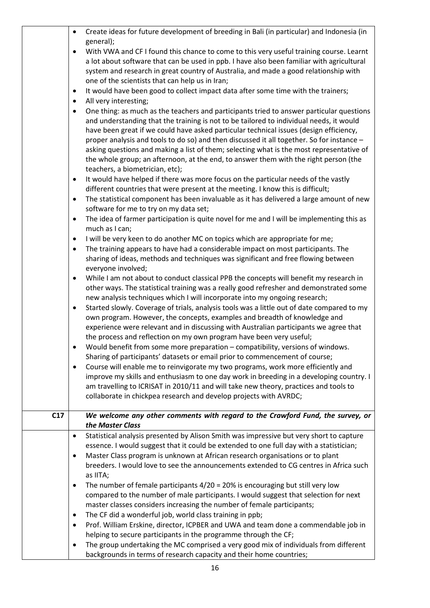|     | $\bullet$ | Create ideas for future development of breeding in Bali (in particular) and Indonesia (in  |
|-----|-----------|--------------------------------------------------------------------------------------------|
|     |           | general);                                                                                  |
|     | $\bullet$ | With VWA and CF I found this chance to come to this very useful training course. Learnt    |
|     |           | a lot about software that can be used in ppb. I have also been familiar with agricultural  |
|     |           | system and research in great country of Australia, and made a good relationship with       |
|     |           | one of the scientists that can help us in Iran;                                            |
|     | ٠         | It would have been good to collect impact data after some time with the trainers;          |
|     | ٠         | All very interesting;                                                                      |
|     | ٠         | One thing: as much as the teachers and participants tried to answer particular questions   |
|     |           | and understanding that the training is not to be tailored to individual needs, it would    |
|     |           | have been great if we could have asked particular technical issues (design efficiency,     |
|     |           | proper analysis and tools to do so) and then discussed it all together. So for instance -  |
|     |           | asking questions and making a list of them; selecting what is the most representative of   |
|     |           | the whole group; an afternoon, at the end, to answer them with the right person (the       |
|     |           | teachers, a biometrician, etc);                                                            |
|     | $\bullet$ | It would have helped if there was more focus on the particular needs of the vastly         |
|     |           | different countries that were present at the meeting. I know this is difficult;            |
|     | ٠         | The statistical component has been invaluable as it has delivered a large amount of new    |
|     |           | software for me to try on my data set;                                                     |
|     | ٠         | The idea of farmer participation is quite novel for me and I will be implementing this as  |
|     |           | much as I can;                                                                             |
|     | ٠         | I will be very keen to do another MC on topics which are appropriate for me;               |
|     | ٠         | The training appears to have had a considerable impact on most participants. The           |
|     |           | sharing of ideas, methods and techniques was significant and free flowing between          |
|     |           | everyone involved;                                                                         |
|     | $\bullet$ | While I am not about to conduct classical PPB the concepts will benefit my research in     |
|     |           | other ways. The statistical training was a really good refresher and demonstrated some     |
|     |           | new analysis techniques which I will incorporate into my ongoing research;                 |
|     | ٠         | Started slowly. Coverage of trials, analysis tools was a little out of date compared to my |
|     |           | own program. However, the concepts, examples and breadth of knowledge and                  |
|     |           | experience were relevant and in discussing with Australian participants we agree that      |
|     |           | the process and reflection on my own program have been very useful;                        |
|     |           | Would benefit from some more preparation - compatibility, versions of windows              |
|     |           | Sharing of participants' datasets or email prior to commencement of course;                |
|     |           | Course will enable me to reinvigorate my two programs, work more efficiently and           |
|     |           | improve my skills and enthusiasm to one day work in breeding in a developing country. I    |
|     |           | am travelling to ICRISAT in 2010/11 and will take new theory, practices and tools to       |
|     |           | collaborate in chickpea research and develop projects with AVRDC;                          |
|     |           |                                                                                            |
| C17 |           | We welcome any other comments with regard to the Crawford Fund, the survey, or             |
|     |           | the Master Class                                                                           |
|     | $\bullet$ | Statistical analysis presented by Alison Smith was impressive but very short to capture    |
|     |           | essence. I would suggest that it could be extended to one full day with a statistician;    |
|     | ٠         | Master Class program is unknown at African research organisations or to plant              |
|     |           | breeders. I would love to see the announcements extended to CG centres in Africa such      |
|     |           | as IITA;                                                                                   |
|     | ٠         | The number of female participants $4/20 = 20\%$ is encouraging but still very low          |
|     |           | compared to the number of male participants. I would suggest that selection for next       |
|     |           | master classes considers increasing the number of female participants;                     |
|     | ٠         | The CF did a wonderful job, world class training in ppb;                                   |
|     | ٠         | Prof. William Erskine, director, ICPBER and UWA and team done a commendable job in         |
|     |           | helping to secure participants in the programme through the CF;                            |
|     | ٠         | The group undertaking the MC comprised a very good mix of individuals from different       |
|     |           | backgrounds in terms of research capacity and their home countries;                        |
|     |           |                                                                                            |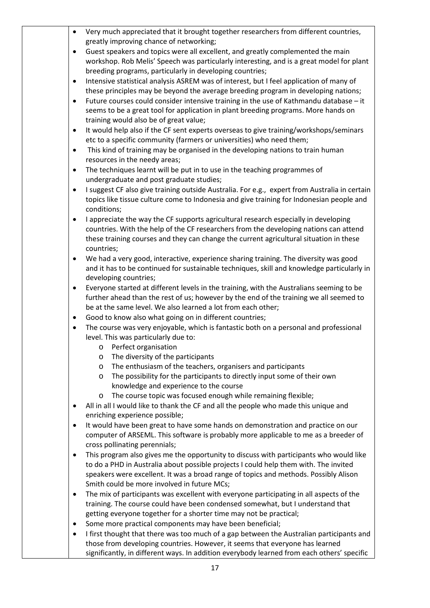- Very much appreciated that it brought together researchers from different countries, greatly improving chance of networking;
- Guest speakers and topics were all excellent, and greatly complemented the main workshop. Rob Melis' Speech was particularly interesting, and is a great model for plant breeding programs, particularly in developing countries;
- Intensive statistical analysis ASREM was of interest, but I feel application of many of these principles may be beyond the average breeding program in developing nations;
- Future courses could consider intensive training in the use of Kathmandu database it seems to be a great tool for application in plant breeding programs. More hands on training would also be of great value;
- It would help also if the CF sent experts overseas to give training/workshops/seminars etc to a specific community (farmers or universities) who need them;
- This kind of training may be organised in the developing nations to train human resources in the needy areas;
- The techniques learnt will be put in to use in the teaching programmes of undergraduate and post graduate studies;
- I suggest CF also give training outside Australia. For e.g., expert from Australia in certain topics like tissue culture come to Indonesia and give training for Indonesian people and conditions;
- I appreciate the way the CF supports agricultural research especially in developing countries. With the help of the CF researchers from the developing nations can attend these training courses and they can change the current agricultural situation in these countries;
- We had a very good, interactive, experience sharing training. The diversity was good and it has to be continued for sustainable techniques, skill and knowledge particularly in developing countries;
- Everyone started at different levels in the training, with the Australians seeming to be further ahead than the rest of us; however by the end of the training we all seemed to be at the same level. We also learned a lot from each other;
- Good to know also what going on in different countries;
- The course was very enjoyable, which is fantastic both on a personal and professional level. This was particularly due to:
	- o Perfect organisation
	- o The diversity of the participants
	- o The enthusiasm of the teachers, organisers and participants
	- o The possibility for the participants to directly input some of their own knowledge and experience to the course
	- o The course topic was focused enough while remaining flexible;
- All in all I would like to thank the CF and all the people who made this unique and enriching experience possible;
- It would have been great to have some hands on demonstration and practice on our computer of ARSEML. This software is probably more applicable to me as a breeder of cross pollinating perennials;
- This program also gives me the opportunity to discuss with participants who would like to do a PHD in Australia about possible projects I could help them with. The invited speakers were excellent. It was a broad range of topics and methods. Possibly Alison Smith could be more involved in future MCs;
- The mix of participants was excellent with everyone participating in all aspects of the training. The course could have been condensed somewhat, but I understand that getting everyone together for a shorter time may not be practical;
- Some more practical components may have been beneficial;
- I first thought that there was too much of a gap between the Australian participants and those from developing countries. However, it seems that everyone has learned significantly, in different ways. In addition everybody learned from each others' specific